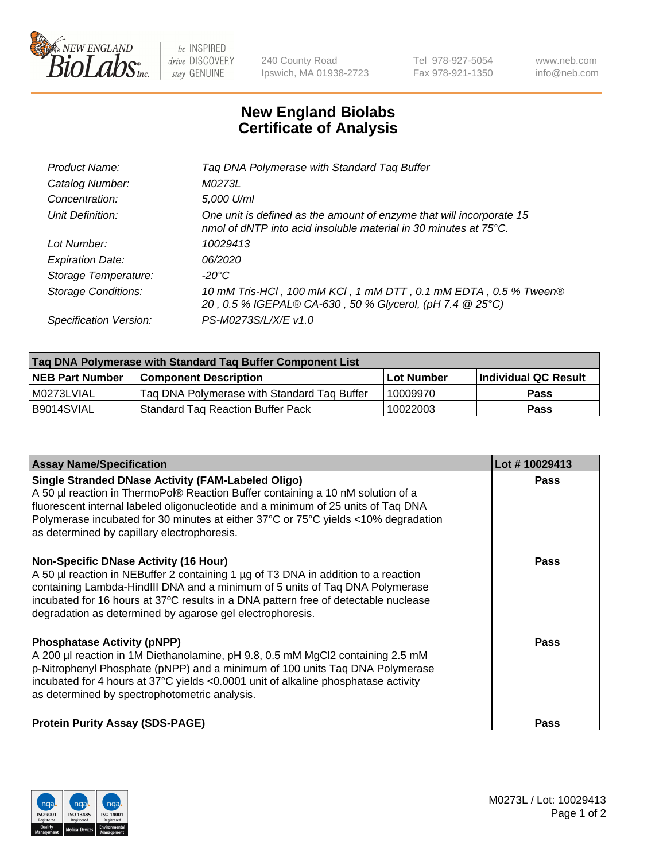

 $be$  INSPIRED drive DISCOVERY stay GENUINE

240 County Road Ipswich, MA 01938-2723 Tel 978-927-5054 Fax 978-921-1350 www.neb.com info@neb.com

## **New England Biolabs Certificate of Analysis**

| Tag DNA Polymerase with Standard Tag Buffer                                                                                              |
|------------------------------------------------------------------------------------------------------------------------------------------|
| M0273L                                                                                                                                   |
| 5,000 U/ml                                                                                                                               |
| One unit is defined as the amount of enzyme that will incorporate 15<br>nmol of dNTP into acid insoluble material in 30 minutes at 75°C. |
| 10029413                                                                                                                                 |
| 06/2020                                                                                                                                  |
| $-20^{\circ}$ C                                                                                                                          |
| 10 mM Tris-HCl, 100 mM KCl, 1 mM DTT, 0.1 mM EDTA, 0.5 % Tween®<br>20, 0.5 % IGEPAL® CA-630, 50 % Glycerol, (pH 7.4 @ 25°C)              |
| PS-M0273S/L/X/E v1.0                                                                                                                     |
|                                                                                                                                          |

| Tag DNA Polymerase with Standard Tag Buffer Component List |                                             |            |                      |  |  |
|------------------------------------------------------------|---------------------------------------------|------------|----------------------|--|--|
| <b>NEB Part Number</b>                                     | <b>Component Description</b>                | Lot Number | Individual QC Result |  |  |
| I M0273LVIAL                                               | Tag DNA Polymerase with Standard Tag Buffer | 10009970   | Pass                 |  |  |
| B9014SVIAL                                                 | <b>Standard Tag Reaction Buffer Pack</b>    | 10022003   | <b>Pass</b>          |  |  |

| <b>Assay Name/Specification</b>                                                                                                                                                                                                                                                                                                                                        | Lot #10029413 |
|------------------------------------------------------------------------------------------------------------------------------------------------------------------------------------------------------------------------------------------------------------------------------------------------------------------------------------------------------------------------|---------------|
| <b>Single Stranded DNase Activity (FAM-Labeled Oligo)</b><br>A 50 µl reaction in ThermoPol® Reaction Buffer containing a 10 nM solution of a<br>fluorescent internal labeled oligonucleotide and a minimum of 25 units of Taq DNA<br>Polymerase incubated for 30 minutes at either 37°C or 75°C yields <10% degradation<br>as determined by capillary electrophoresis. | <b>Pass</b>   |
| <b>Non-Specific DNase Activity (16 Hour)</b><br>A 50 µl reaction in NEBuffer 2 containing 1 µg of T3 DNA in addition to a reaction<br>containing Lambda-HindIII DNA and a minimum of 5 units of Taq DNA Polymerase<br>incubated for 16 hours at 37°C results in a DNA pattern free of detectable nuclease<br>degradation as determined by agarose gel electrophoresis. | <b>Pass</b>   |
| <b>Phosphatase Activity (pNPP)</b><br>A 200 µl reaction in 1M Diethanolamine, pH 9.8, 0.5 mM MgCl2 containing 2.5 mM<br>p-Nitrophenyl Phosphate (pNPP) and a minimum of 100 units Taq DNA Polymerase<br>incubated for 4 hours at 37°C yields <0.0001 unit of alkaline phosphatase activity<br>as determined by spectrophotometric analysis.                            | Pass          |
| <b>Protein Purity Assay (SDS-PAGE)</b>                                                                                                                                                                                                                                                                                                                                 | Pass          |